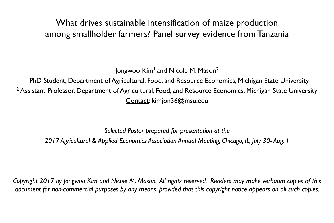# What drives sustainable intensification of maize production among smallholder farmers? Panel survey evidence from Tanzania

Jongwoo Kim<sup>1</sup> and Nicole M. Mason<sup>2</sup> <sup>1</sup> PhD Student, Department of Agricultural, Food, and Resource Economics, Michigan State University <sup>2</sup> Assistant Professor, Department of Agricultural, Food, and Resource Economics, Michigan State University Contact: kimjon36@msu.edu

*Selected Poster prepared for presentation at the 2017 Agricultural & Applied Economics Association Annual Meeting, Chicago, IL, July 30- Aug. 1*

*Copyright 2017 by Jongwoo Kim and Nicole M. Mason. All rights reserved. Readers may make verbatim copies of this document for non-commercial purposes by any means, provided that this copyright notice appears on all such copies.*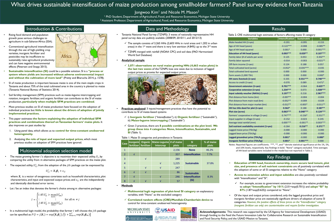# What drives sustainable intensification of maize production among smallholder farmers? Panel survey evidence from Tanzania

<sup>1</sup> PhD Student, Department of Agricultural, Food, and Resource Economics, Michigan State University <sup>2</sup> Assistant Professor, Department of Agricultural, Food, and Resource Economics, Michigan State University

> $\checkmark$  TZNPS merged with rainfall (NOAA CPC) and soil data (FAO Harmonized World Soil Database)

# Introduction & Contributions

**Practices analyzed**: 3 inputs/management practices that have the potential to contribute to SI of maize-based systems

• Tanzania National Panel Survey (TZNPS): 3 waves of nationally-representative HH panel survey data are publicly available (2008/09, 2010/11, and 2012/13)

 $\checkmark$  The sample consists of 3,265 HHs (2,603 HHs in rural areas and 1,202 in urban areas) in the 1st wave and there is very low attrition (4.84%) up to the 3rd wave

## • **Analytical sample**



✓ **3,071 observations on rural maize growing HHs (4,663 maize plots) in the last two waves** of the TZNPS; lose one wave due to inclusion of lagged output prices as proxies for expected output prices.

✓ i) **Inorganic fertilizer** ("*Intensification*"), ii) **Organic fertilizer** ("*Sustainable*"), iii) **Maize-legume intercropping** ("*Sustainable*")

✓ Given 3 practices, there are **8 possible combinations at the plot level. We group these into 4 categories: None, Intensification, Sustainable, and** 

- 
- **SI** (Table 1).

- Rising food demand and population growth pose serious challenges to agriculture in sub-Saharan Africa (SSA).
- Conventional agricultural intensification through the use of high-yielding crop varieties, inorganic fertilizer and pesticides may be insufficient to sustainably raise agricultural productivity and can have negative environmental effects (Petersen and Snapp 2015).
- Africa
- **Sustainable intensification (SI)** could be a possible solution. SI is a **"process or system where yields are increased without adverse environmental impact and without the cultivation of more land"** (Pretty and Bharucha 2014, p. 1578).
- SI of maize production is important because maize is one of the main staple crops in Tanzania and about 75% of the total cultivated area in the country is planted to maize (Tanzania National Bureau of Statistics 2014).
- Soil fertility management (SFM) practices such as maize-legume intercropping and rotation, inorganic fertilizer, and organic fertilizer can contribute to the SI of maize production, **particularly when multiple SFM practices are combined**.
- Most previous studies on SI of maize production have focused on the adoption of individual practices but **little is known about the drivers of adoption of jointly implemented practices.**
- This paper estimates **the factors explaining the adoption of individual SFM practices and combinations thereof on Tanzanian farmers' maize plots.** It also improves on past studies by:
	- 1. Using panel data, which allows us to **control for time-constant unobserved heterogeneity.**
	- 2. Analyzing **the role of input and expected output prices**, which most previous studies on adoption of SFM practices have ignored.

## Multinomial adoption selection model

- The maize growing farmer *i*'s objective is to maximize their expected utility,  $U_i$ , by comparing the utility from  $m$  alternative packages of SFM practices on the maize plot.
- The expected utility,  $U_{ij}^*$ , from the adoption of the  $jth$  package can be expressed by

Table 1. Maize SI categories and prevalence in Tanzania

## • **Methods**

- 
- 

**MICHIGAN STATE** UNIVERSITY

## Jongwoo Kim<sup>1</sup> and Nicole M. Mason<sup>2</sup>

✓ **Multinomial logit regression of plot-level SI category** on explanatory variables, with "None" as the excluded category

✓ **Correlated random effects (CRE)/Mundlak-Chamberlain device** to control for time-constant unobserved heterogeneity





where  $\boldsymbol{X}_{i}$  is a vector of exogenous covariates such as household characteristics, plot characteristics, and input and expected output prices; and  $\varepsilon_{ij}$  are the independently and identically distributed error terms.

Let *I* be an index that denotes the farmer's choice among  $m$  alternative packages:

# Data and Methodology

| <b>Case</b>    | Inorganic<br>fertilizer | fertilizer | Organic   Maize-Legume   # of maize<br>Intercrop | plots | SI<br>category                 | % of maize<br>plots |
|----------------|-------------------------|------------|--------------------------------------------------|-------|--------------------------------|---------------------|
| $\mathbf{1}$   |                         |            |                                                  | 2,156 | <b>None</b>                    | 46.2%               |
| $\overline{2}$ | $\sqrt{ }$              |            |                                                  | 357   | <b>Intensification</b>         | 7.7%                |
| $\overline{3}$ |                         | $\sqrt{ }$ |                                                  | 289   | <b>Sustainable</b>             | 37.8%               |
| $\overline{4}$ |                         |            | $\sqrt{ }$                                       | 1,225 |                                |                     |
| 5              |                         | $\sqrt{ }$ | $\sqrt{ }$                                       | 247   |                                |                     |
| 6              | $\sqrt{ }$              | $\sqrt{ }$ |                                                  | 86    | <b>Sustainable</b>             |                     |
| 7              | $\sqrt{ }$              |            | $\sqrt{ }$                                       | 246   | <b>Intensification</b><br>(SI) | 8.3%                |
| 8              | $\mathbf{v}$            | $\sqrt{ }$ |                                                  | 57    |                                |                     |

 $\checkmark$  For example, access to government extension increases the relative probability to **adopt "Intensification" by 101%** (2.01=exp(0.701)) and **adopt "SI" by** 

$$
U_{ij}^* = X_i \boldsymbol{\beta}_j + \varepsilon_{ij}
$$

| Table 2. CRE multinomial logit estimates of factors affecting maize SI category                         |                 |                    |            |  |  |  |
|---------------------------------------------------------------------------------------------------------|-----------------|--------------------|------------|--|--|--|
| <b>Variables</b>                                                                                        | Intensification | <b>Sustainable</b> | SI         |  |  |  |
| Male-headed HH (1=yes)                                                                                  | $-0.201$        | $-0.095$           | $-0.153$   |  |  |  |
| Age of HH head (years)                                                                                  | $-0.122***$     | $-0.008$           | $-0.085**$ |  |  |  |
| Age of HH head squared                                                                                  | $0.001*$        | 0.000              | $0.001***$ |  |  |  |
| <b>Education of HH head (years)</b>                                                                     | $0.093***$      | $0.029**$          | $0.107***$ |  |  |  |
| Family labor (# of adults per acre)                                                                     | 0.125           | 0.053              | $0.302**$  |  |  |  |
| <b>Family labor squared</b>                                                                             | $-0.014$        | $-0.003$           | $-0.021**$ |  |  |  |
| Off-farm income (1=yes)                                                                                 | 0.124           | 0.188              | 0.057      |  |  |  |
| <b>Total cultivated land (acres)</b>                                                                    | $-0.052*$       | $-0.035***$        | $-0.035$   |  |  |  |
| <b>Total cultivated land squared</b>                                                                    | 0.000           | 0.000              | $-0.000$   |  |  |  |
| Farm assets (1,000 TSh)                                                                                 | 0.000           | 0.000              | $0.000*$   |  |  |  |
| HH owns livestock (1=yes)                                                                               | 0.335           | $0.551***$         | $0.740***$ |  |  |  |
| Access to credit (1=yes)                                                                                | $-0.070$        | 0.089              | $0.471*$   |  |  |  |
| <b>Government extension (1=yes)</b>                                                                     | $0.701***$      | $-0.064$           | $0.625**$  |  |  |  |
| <b>Cooperative extension (1=yes)</b>                                                                    | $1.234***$      | 0.073              | $1.028***$ |  |  |  |
| <b>Input subsidy voucher (NAIVs) (1=yes)</b>                                                            | $3.197***$      | 0.218              | $2.967***$ |  |  |  |
| Plot distance from home (km)                                                                            | $-0.007**$      | $-0.004$           | $-0.004$   |  |  |  |
| Plot distance from main road (km)                                                                       | $-0.052**$      | $-0.009$           | $-0.029$   |  |  |  |
| Plot distance from major market (km)                                                                    | $-0.012**$      | $-0.005*$          | $-0.011**$ |  |  |  |
| HH has title deed for plot (1=yes)                                                                      | $0.562*$        | 0.188              | $0.587**$  |  |  |  |
| <b>Plot size (acres)</b>                                                                                | $0.063***$      | $0.048***$         | $0.124***$ |  |  |  |
| Farmers' cooperative in village (1=yes)                                                                 | $0.747***$      | $-0.156*$          | $0.351**$  |  |  |  |
| Input supplier in village (1=yes)                                                                       | $-0.152$        | $-0.023$           | 0.245      |  |  |  |
| Average total rainfall (mm)                                                                             | $0.005***$      | $-0.001**$         | $0.003***$ |  |  |  |
| Soil nutrient availability constraint (1=yes)                                                           | $-0.264$        | $0.216**$          | $0.371**$  |  |  |  |
| Lagged maize price (TSh/kg)                                                                             | $-0.000$        | $-0.000$           | $-0.000$   |  |  |  |
| Lagged bean price (TSh/kg)                                                                              | $-0.000$        | $-0.000$           | $-0.000$   |  |  |  |
| Lagged groundnut price (TSh/kg)                                                                         | $0.001*$        | $-0.000$           | $0.000*$   |  |  |  |
| <b>Inorganic fertilizer price (TSh/kg)</b>                                                              | $0.001*$        | $0.001***$         | 0.000      |  |  |  |
| $***$ ** and * denote statistical significance at the 1% 5%<br>Notes: Renorted figures are coefficients |                 |                    |            |  |  |  |

$$
I = \begin{cases} 1 \text{ iff } U_{i1}^* > \max_{m \neq 1} (U_{im}^*) \\ \vdots & \vdots \\ J \text{ iff } U_{ij}^* > \max_{m \neq J} (U_{im}^*) \end{cases} \text{ for all } m \neq j
$$

In a multinomial logit model, the probability that farmer  $i$  will choose the  $jth$  package can be specified as:  $P(I=j|\pmb{X}_i)=\exp\bigl(\pmb{X}_i\pmb{\beta}_j\bigr)\big/\bigl[1+\sum_{m=1}^J\exp(\pmb{X}_i\pmb{\beta}_m)\bigr]$ 

- -
	-

• **Education of HH head, livestock ownership, more secure land tenure, plot size, and presence of soil nutrient constraints** are all positively correlated with

• **Access to extension advice and input subsidies** are also positively correlated

- the adoption of some or all SI categories relative to the "None" category.
- with "Intensification" and "SI".
	- **87%** (1.87=exp(0.625)) compared to "None".
- *(inorganic fertilizer use only) are counterintuitive and require further investigation.*

• Of the input and output prices considered, only the lagged groundnut price and inorganic fertilizer price are statistically significant drivers of adoption of some SI categories. *However, the positive effects of these prices on the "Intensification" category* 

# Key Findings

Notes: Reported figures are coefficients. \*\*\*, \*\*, and \* denote statistical significance at the 1%, 5%, and 10% levels, respectively. Key findings in bold. "None" category excluded. Time-averages of HH-level variables were included in the model but not reported in Table 2.



**Acknowledgements:** This research was supported by the US Agency for International Development (USAID) through funding to the Feed the Future Innovation Labs for Collaborative Research on Sustainable Intensification and Food Security Policy, and the USAID Mission to Tanzania.

## **Results**